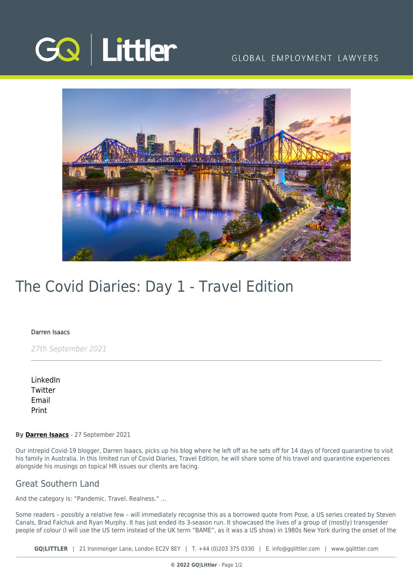

## GLOBAL EMPLOYMENT LAWYERS



# The Covid Diaries: Day 1 - Travel Edition

#### [Darren Isaacs](https://www.gqlittler.com/about-us/the-team/darren-isaacs)

27th September 2021

[LinkedIn](https://www.linkedin.com/shareArticle?mini=true&url=https%3A%2F%2Fwww.gqlittler.com%2Fresources%2Fnews-and-views%2Fthe-covid-diaries-day-1-travel-edition.htm%3Funlock%3Dtrue&title=The+Covid+Diaries%3A+Day+1+-+Travel+Edition&summary=In+this+limited+run+of+Covid+Diaries%2C+Travel+Edition%2C+Darren+will+share+some+of+his+travel+and+quarantine+experiences+alongside+his+musings+on+topical+HR+issues+our+clients+are+facing.&source=GQ+%7C+Littler) **[Twitter](https://twitter.com/share?text=The+Covid+Diaries%3A+Day+1+-+Travel+Edition&url=https%3A%2F%2Fwww.gqlittler.com%2Fresources%2Fnews-and-views%2Fthe-covid-diaries-day-1-travel-edition.htm&hashtags=)** [Email](mailto:?subject=The Covid Diaries: Day 1 - Travel Edition&body=I) [Print](https://www.bg-pdf.co.uk/_GQ/page.php?M=6148523063484d364c793933643363755a33467361585230624756794c6d4e76625339795a584e7664584a6a5a584d76626d563363793168626d5174646d6c6c64334d766447686c4c574e76646d6c6b4c57527059584a705a584d745a4746354c54457464484a68646d56734c57566b6158527062323475614852744930416a5647686c49454e76646d6c6b4945527059584a705a584d3649455268655341784943306756484a68646d56734945566b615852706232346a51434e306147557459323932615751745a476c68636d6c6c6379316b59586b744d533130636d46325a5777745a57527064476c7662673d3d)

#### **By [Darren Isaacs](https://www.gqlittler.com/about-us/the-team/darren-isaacs)** - 27 September 2021

Our intrepid Covid-19 blogger, Darren Isaacs, picks up his blog where he left off as he sets off for 14 days of forced quarantine to visit his family in Australia. In this limited run of Covid Diaries, Travel Edition, he will share some of his travel and quarantine experiences alongside his musings on topical HR issues our clients are facing.

### Great Southern Land

And the category is: "Pandemic. Travel. Realness." …

Some readers – possibly a relative few – will immediately recognise this as a borrowed quote from Pose, a US series created by Steven Canals, Brad Falchuk and Ryan Murphy. It has just ended its 3-season run. It showcased the lives of a group of (mostly) transgender people of colour (I will use the US term instead of the UK term "BAME", as it was a US show) in 1980s New York during the onset of the

**GQ|LITTLER** | 21 Ironmonger Lane, London EC2V 8EY | T. [+44 \(0\)203 375 0330](https://www.bg-pdf.co.uk/_GQ/tel:+442033750330) | E. [info@gqlittler.com](mailto:info@gqlittler.com) | [www.gqlittler.com](https://www.gqlittler.com)